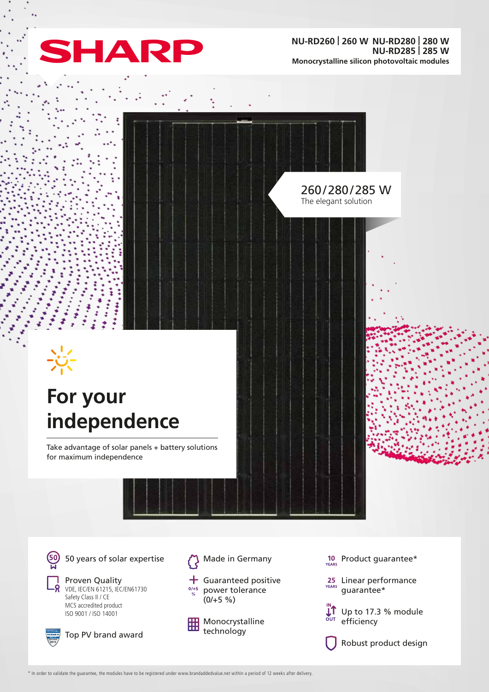

260/280/285 W The elegant solution

# **For your independence**

Take advantage of solar panels + battery solutions for maximum independence

50 years of solar expertise

Proven Quality VDE, IEC/EN 61215, IEC/EN61730 Safety Class II / CE MCS accredited product ISO 9001 / ISO 14001



Top PV brand award



- $+$  Guaranteed positive  $0/+5$ power tolerance  $(0/+5 \%)$ 
	- Monocrystalline technology
- $10$  Product guarantee\*
- 25 Linear performance guarantee\*

 $\mathbf{L}$  Up to 17.3 % module  $\frac{1}{2}$ efficiency

Robust product design